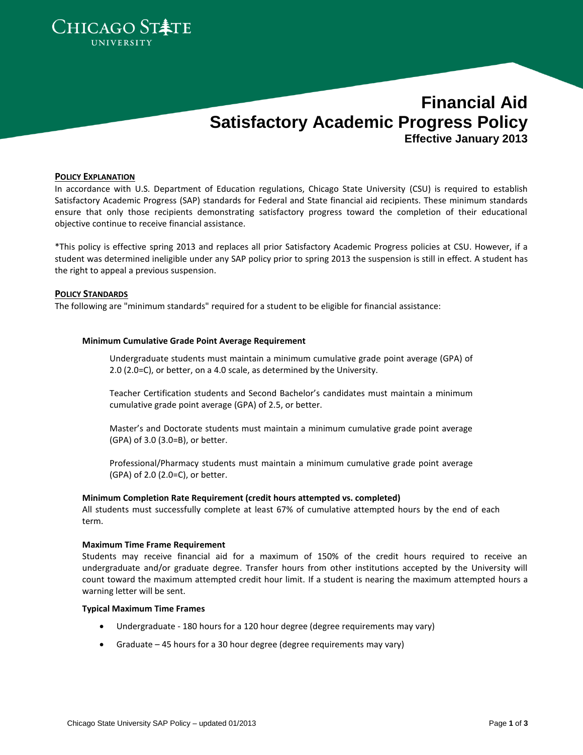

# **Financial Aid Satisfactory Academic Progress Policy Effective January 2013**

#### **POLICY EXPLANATION**

In accordance with U.S. Department of Education regulations, Chicago State University (CSU) is required to establish Satisfactory Academic Progress (SAP) standards for Federal and State financial aid recipients. These minimum standards ensure that only those recipients demonstrating satisfactory progress toward the completion of their educational objective continue to receive financial assistance.

\*This policy is effective spring 2013 and replaces all prior Satisfactory Academic Progress policies at CSU. However, if a student was determined ineligible under any SAP policy prior to spring 2013 the suspension is still in effect. A student has the right to appeal a previous suspension.

### **POLICY STANDARDS**

The following are "minimum standards" required for a student to be eligible for financial assistance:

#### **Minimum Cumulative Grade Point Average Requirement**

Undergraduate students must maintain a minimum cumulative grade point average (GPA) of 2.0 (2.0=C), or better, on a 4.0 scale, as determined by the University.

Teacher Certification students and Second Bachelor's candidates must maintain a minimum cumulative grade point average (GPA) of 2.5, or better.

Master's and Doctorate students must maintain a minimum cumulative grade point average (GPA) of 3.0 (3.0=B), or better.

Professional/Pharmacy students must maintain a minimum cumulative grade point average (GPA) of 2.0 (2.0=C), or better.

#### **Minimum Completion Rate Requirement (credit hours attempted vs. completed)**

All students must successfully complete at least 67% of cumulative attempted hours by the end of each term.

#### **Maximum Time Frame Requirement**

Students may receive financial aid for a maximum of 150% of the credit hours required to receive an undergraduate and/or graduate degree. Transfer hours from other institutions accepted by the University will count toward the maximum attempted credit hour limit. If a student is nearing the maximum attempted hours a warning letter will be sent.

### **Typical Maximum Time Frames**

- Undergraduate 180 hours for a 120 hour degree (degree requirements may vary)
- Graduate 45 hours for a 30 hour degree (degree requirements may vary)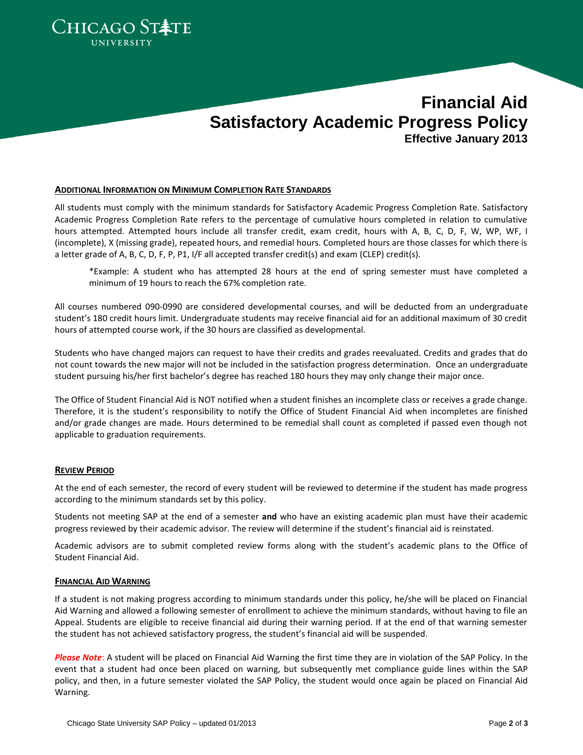

# **Financial Aid Satisfactory Academic Progress Policy Effective January 2013**

#### **ADDITIONAL INFORMATION ON MINIMUM COMPLETION RATE STANDARDS**

All students must comply with the minimum standards for Satisfactory Academic Progress Completion Rate. Satisfactory Academic Progress Completion Rate refers to the percentage of cumulative hours completed in relation to cumulative hours attempted. Attempted hours include all transfer credit, exam credit, hours with A, B, C, D, F, W, WP, WF, I (incomplete), X (missing grade), repeated hours, and remedial hours. Completed hours are those classes for which there is a letter grade of A, B, C, D, F, P, P1, I/F all accepted transfer credit(s) and exam (CLEP) credit(s).

\*Example: A student who has attempted 28 hours at the end of spring semester must have completed a minimum of 19 hours to reach the 67% completion rate.

All courses numbered 090-0990 are considered developmental courses, and will be deducted from an undergraduate student's 180 credit hours limit. Undergraduate students may receive financial aid for an additional maximum of 30 credit hours of attempted course work, if the 30 hours are classified as developmental.

Students who have changed majors can request to have their credits and grades reevaluated. Credits and grades that do not count towards the new major will not be included in the satisfaction progress determination. Once an undergraduate student pursuing his/her first bachelor's degree has reached 180 hours they may only change their major once.

The Office of Student Financial Aid is NOT notified when a student finishes an incomplete class or receives a grade change. Therefore, it is the student's responsibility to notify the Office of Student Financial Aid when incompletes are finished and/or grade changes are made. Hours determined to be remedial shall count as completed if passed even though not applicable to graduation requirements.

## **REVIEW PERIOD**

At the end of each semester, the record of every student will be reviewed to determine if the student has made progress according to the minimum standards set by this policy.

Students not meeting SAP at the end of a semester **and** who have an existing academic plan must have their academic progress reviewed by their academic advisor. The review will determine if the student's financial aid is reinstated.

Academic advisors are to submit completed review forms along with the student's academic plans to the Office of Student Financial Aid.

## **FINANCIAL AID WARNING**

If a student is not making progress according to minimum standards under this policy, he/she will be placed on Financial Aid Warning and allowed a following semester of enrollment to achieve the minimum standards, without having to file an Appeal. Students are eligible to receive financial aid during their warning period. If at the end of that warning semester the student has not achieved satisfactory progress, the student's financial aid will be suspended.

*Please Note*: A student will be placed on Financial Aid Warning the first time they are in violation of the SAP Policy. In the event that a student had once been placed on warning, but subsequently met compliance guide lines within the SAP policy, and then, in a future semester violated the SAP Policy, the student would once again be placed on Financial Aid Warning.